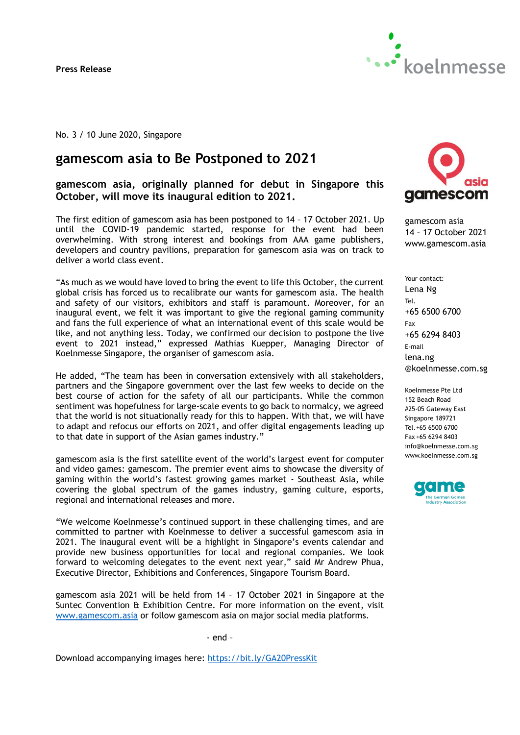**Press Release**



No. 3 / 10 June 2020, Singapore

# **gamescom asia to Be Postponed to 2021**

**gamescom asia, originally planned for debut in Singapore this October, will move its inaugural edition to 2021.**

The first edition of gamescom asia has been postponed to 14 – 17 October 2021. Up until the COVID-19 pandemic started, response for the event had been overwhelming. With strong interest and bookings from AAA game publishers, developers and country pavilions, preparation for gamescom asia was on track to deliver a world class event.

"As much as we would have loved to bring the event to life this October, the current global crisis has forced us to recalibrate our wants for gamescom asia. The health and safety of our visitors, exhibitors and staff is paramount. Moreover, for an inaugural event, we felt it was important to give the regional gaming community and fans the full experience of what an international event of this scale would be like, and not anything less. Today, we confirmed our decision to postpone the live event to 2021 instead," expressed Mathias Kuepper, Managing Director of Koelnmesse Singapore, the organiser of gamescom asia.

He added, "The team has been in conversation extensively with all stakeholders, partners and the Singapore government over the last few weeks to decide on the best course of action for the safety of all our participants. While the common sentiment was hopefulness for large-scale events to go back to normalcy, we agreed that the world is not situationally ready for this to happen. With that, we will have to adapt and refocus our efforts on 2021, and offer digital engagements leading up to that date in support of the Asian games industry."

gamescom asia is the first satellite event of the world's largest event for computer and video games: gamescom. The premier event aims to showcase the diversity of gaming within the world's fastest growing games market - Southeast Asia, while covering the global spectrum of the games industry, gaming culture, esports, regional and international releases and more.

"We welcome Koelnmesse's continued support in these challenging times, and are committed to partner with Koelnmesse to deliver a successful gamescom asia in 2021. The inaugural event will be a highlight in Singapore's events calendar and provide new business opportunities for local and regional companies. We look forward to welcoming delegates to the event next year," said Mr Andrew Phua, Executive Director, Exhibitions and Conferences, Singapore Tourism Board.

gamescom asia 2021 will be held from 14 – 17 October 2021 in Singapore at the Suntec Convention & Exhibition Centre. For more information on the event, visit [www.gamescom.asia](http://www.gamescom.asia/) or follow gamescom asia on major social media platforms.

- end –

Download accompanying images here:<https://bit.ly/GA20PressKit>



gamescom asia 14 – 17 October 2021 www.gamescom.asia

Your contact: Lena Ng Tel. +65 6500 6700 Fax +65 6294 8403 E-mail lena.ng @koelnmesse.com.sg

Koelnmesse Pte Ltd 152 Beach Road #25-05 Gateway East Singapore 189721 Tel.+65 6500 6700 Fax +65 6294 8403 info@koelnmesse.com.sg www.koelnmesse.com.sg

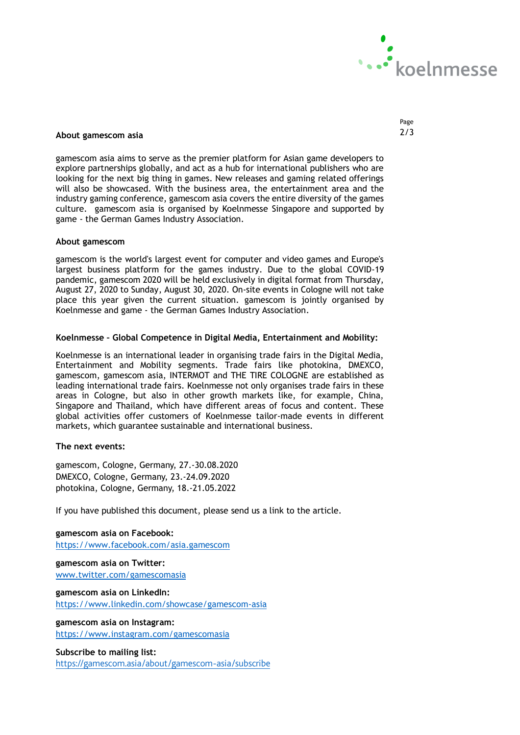

## **About gamescom asia** 2/3

gamescom asia aims to serve as the premier platform for Asian game developers to explore partnerships globally, and act as a hub for international publishers who are looking for the next big thing in games. New releases and gaming related offerings will also be showcased. With the business area, the entertainment area and the industry gaming conference, gamescom asia covers the entire diversity of the games culture. gamescom asia is organised by Koelnmesse Singapore and supported by game - the German Games Industry Association.

#### **About gamescom**

gamescom is the world's largest event for computer and video games and Europe's largest business platform for the games industry. Due to the global COVID-19 pandemic, gamescom 2020 will be held exclusively in digital format from Thursday, August 27, 2020 to Sunday, August 30, 2020. On-site events in Cologne will not take place this year given the current situation. gamescom is jointly organised by Koelnmesse and game - the German Games Industry Association.

#### **Koelnmesse – Global Competence in Digital Media, Entertainment and Mobility:**

Koelnmesse is an international leader in organising trade fairs in the Digital Media, Entertainment and Mobility segments. Trade fairs like photokina, DMEXCO, gamescom, gamescom asia, INTERMOT and THE TIRE COLOGNE are established as leading international trade fairs. Koelnmesse not only organises trade fairs in these areas in Cologne, but also in other growth markets like, for example, China, Singapore and Thailand, which have different areas of focus and content. These global activities offer customers of Koelnmesse tailor-made events in different markets, which guarantee sustainable and international business.

### **The next events:**

gamescom, Cologne, Germany, 27.-30.08.2020 DMEXCO, Cologne, Germany, 23.-24.09.2020 photokina, Cologne, Germany, 18.-21.05.2022

If you have published this document, please send us a link to the article.

**gamescom asia on Facebook:** <https://www.facebook.com/asia.gamescom>

**gamescom asia on Twitter:** [www.twitter.com/gamescomasia](http://www.twitter.com/gamescomasia)

**gamescom asia on LinkedIn:** <https://www.linkedin.com/showcase/gamescom-asia>

**gamescom asia on Instagram:** <https://www.instagram.com/gamescomasia>

**Subscribe to mailing list:**

<https://gamescom.asia/about/gamescom-asia/subscribe>

Page